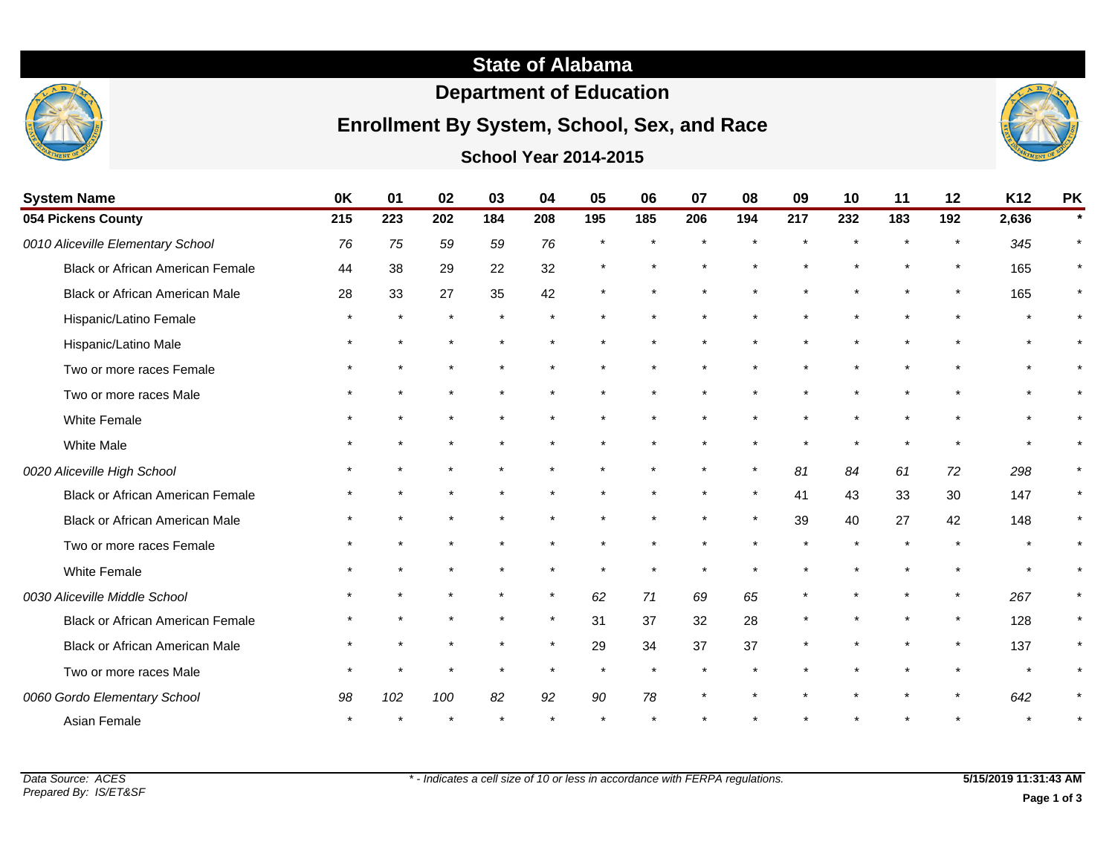## **State of Alabama**

## **Department of Education**

# **Enrollment By System, School, Sex, and Race**



**School Year 2014-2015**

| <b>System Name</b>                      | 0K  | 01      | 02      | 03  | 04      | 05  | 06            | 07      | 08      | 09  | 10  | 11  | 12      | K12   | <b>PK</b> |
|-----------------------------------------|-----|---------|---------|-----|---------|-----|---------------|---------|---------|-----|-----|-----|---------|-------|-----------|
| 054 Pickens County                      | 215 | 223     | 202     | 184 | 208     | 195 | 185           | 206     | 194     | 217 | 232 | 183 | 192     | 2,636 |           |
| 0010 Aliceville Elementary School       | 76  | 75      | 59      | 59  | 76      |     |               |         |         |     |     |     |         | 345   |           |
| <b>Black or African American Female</b> | 44  | 38      | 29      | 22  | 32      |     |               |         |         |     |     |     | $\star$ | 165   |           |
| <b>Black or African American Male</b>   | 28  | 33      | 27      | 35  | 42      |     |               |         |         |     |     |     | $\star$ | 165   | $\star$   |
| Hispanic/Latino Female                  |     | $\star$ |         |     |         |     |               |         |         |     |     |     |         |       |           |
| Hispanic/Latino Male                    |     |         |         |     |         |     |               |         |         |     |     |     |         |       |           |
| Two or more races Female                |     |         |         |     |         |     |               |         |         |     |     |     |         |       |           |
| Two or more races Male                  |     |         |         |     |         |     |               |         |         |     |     |     |         |       |           |
| White Female                            |     |         |         |     |         |     |               |         |         |     |     |     |         |       |           |
| <b>White Male</b>                       |     |         |         |     |         |     |               |         |         |     |     |     |         |       |           |
| 0020 Aliceville High School             |     |         |         |     |         |     |               |         | $\star$ | 81  | 84  | 61  | 72      | 298   |           |
| <b>Black or African American Female</b> |     |         |         |     |         |     |               |         |         | 41  | 43  | 33  | 30      | 147   | $\star$   |
| Black or African American Male          |     |         |         |     |         |     |               | $\star$ |         | 39  | 40  | 27  | 42      | 148   |           |
| Two or more races Female                |     |         |         |     |         |     |               |         |         |     |     |     |         |       |           |
| White Female                            |     |         |         |     |         |     | $\star$       | $\star$ |         |     |     |     | $\star$ |       | $\star$   |
| 0030 Aliceville Middle School           |     |         |         |     | $\star$ | 62  | 71            | 69      | 65      |     |     |     | $\star$ | 267   | $\star$   |
| Black or African American Female        |     |         |         |     | $\star$ | 31  | 37            | 32      | 28      |     |     |     | $\star$ | 128   |           |
| <b>Black or African American Male</b>   |     |         |         |     | $\star$ | 29  | 34            | 37      | 37      |     |     |     |         | 137   |           |
| Two or more races Male                  |     |         | $\star$ |     | $\star$ |     | $\pmb{\star}$ |         |         |     |     |     | $\star$ |       | $\star$   |
| 0060 Gordo Elementary School            | 98  | 102     | 100     | 82  | 92      | 90  | 78            |         |         |     |     |     |         | 642   |           |
| Asian Female                            |     |         |         |     |         |     |               |         |         |     |     |     |         |       |           |

**Page 1 of 3**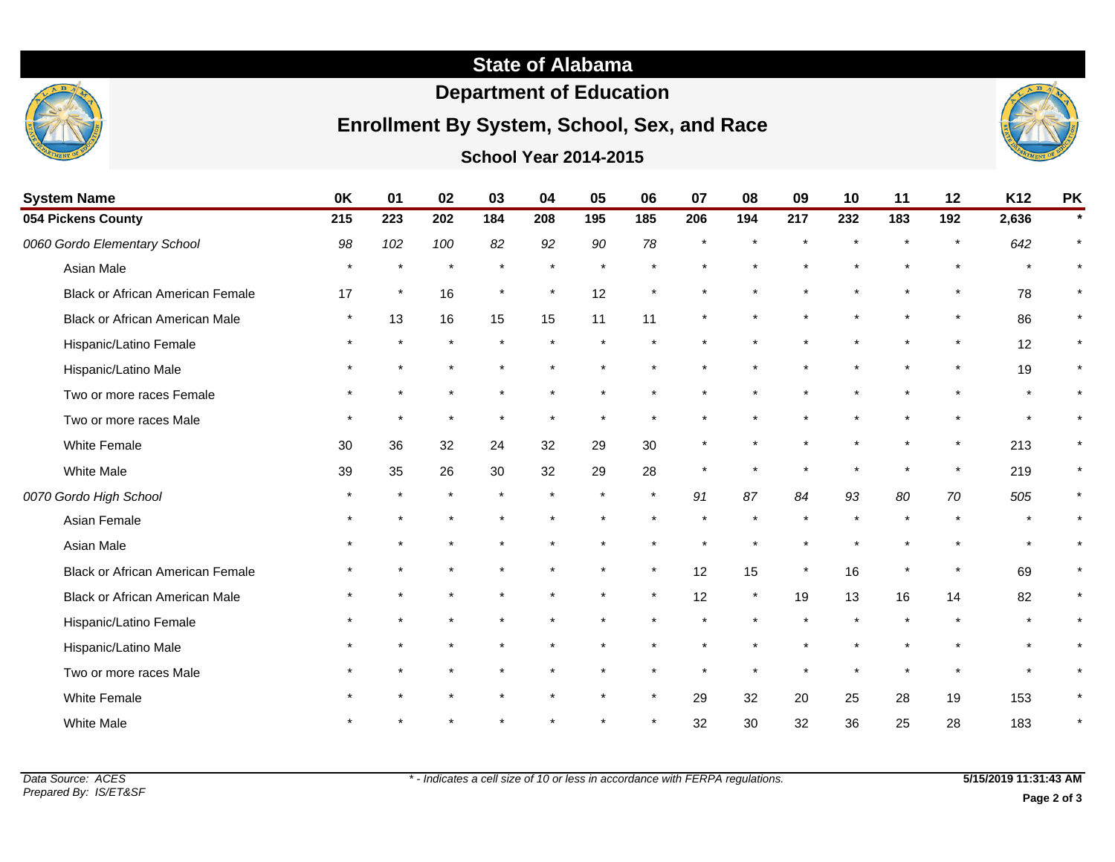## **State of Alabama**

## **Department of Education**

## **Enrollment By System, School, Sex, and Race**

### **School Year 2014-2015**



| <b>System Name</b>                      | 0K      | 01      | 02      | 03      | 04      | 05      | 06      | 07      | 08      | 09      | 10      | 11  | 12            | K12     | <b>PK</b> |
|-----------------------------------------|---------|---------|---------|---------|---------|---------|---------|---------|---------|---------|---------|-----|---------------|---------|-----------|
| 054 Pickens County                      | 215     | 223     | 202     | 184     | 208     | 195     | 185     | 206     | 194     | 217     | 232     | 183 | 192           | 2,636   | $\star$   |
| 0060 Gordo Elementary School            | 98      | 102     | 100     | 82      | 92      | 90      | 78      |         |         |         |         |     | $\star$       | 642     | $\star$   |
| Asian Male                              | $\star$ | $\star$ |         | $\star$ | $\star$ | $\star$ |         |         |         |         |         |     | $\star$       | $\star$ | $\star$   |
| <b>Black or African American Female</b> | 17      | $\star$ | 16      |         |         | 12      |         |         |         |         |         |     | $\star$       | 78      | $\star$   |
| <b>Black or African American Male</b>   |         | 13      | 16      | 15      | 15      | 11      | 11      |         |         |         |         |     | $\star$       | 86      | $\star$   |
| Hispanic/Latino Female                  |         | $\star$ |         | $\star$ |         | $\star$ |         |         |         |         |         |     | $\star$       | 12      | $\star$   |
| Hispanic/Latino Male                    |         |         |         |         |         | $\star$ |         |         |         |         |         |     | $\star$       | 19      | $\star$   |
| Two or more races Female                |         |         |         |         |         |         |         |         |         |         |         |     | $\star$       | $\star$ | $\star$   |
| Two or more races Male                  |         | $\star$ |         | $\star$ |         | $\star$ |         |         |         |         |         |     |               | $\star$ |           |
| White Female                            | 30      | 36      | 32      | 24      | 32      | 29      | 30      |         |         |         |         |     | $\pmb{\star}$ | 213     | $\star$   |
| <b>White Male</b>                       | 39      | 35      | 26      | 30      | 32      | 29      | 28      | $\star$ |         |         |         |     | $\star$       | 219     | $\ast$    |
| 0070 Gordo High School                  |         |         | $\star$ | $\star$ | $\star$ | $\star$ | $\star$ | 91      | 87      | 84      | 93      | 80  | 70            | 505     | $\star$   |
| Asian Female                            |         |         |         |         |         |         |         |         |         |         | $\star$ |     |               | $\star$ |           |
| Asian Male                              |         |         |         |         |         |         |         |         |         |         |         |     |               | $\star$ |           |
| <b>Black or African American Female</b> |         |         |         | $\star$ |         | $\star$ | $\star$ | 12      | 15      | $\star$ | 16      |     | $\star$       | 69      | $\star$   |
| <b>Black or African American Male</b>   |         |         |         |         |         |         | $\star$ | 12      | $\star$ | 19      | 13      | 16  | 14            | 82      | $\star$   |
| Hispanic/Latino Female                  |         |         |         |         |         |         |         |         |         |         |         |     | $\star$       | $\star$ |           |
| Hispanic/Latino Male                    |         |         |         |         |         |         |         |         |         |         |         |     |               | $\star$ |           |
| Two or more races Male                  |         |         |         |         |         |         |         |         |         |         |         |     |               |         |           |
|                                         |         |         |         |         |         |         |         |         |         |         |         |     |               |         |           |

White Female \* \* \* \* \* \* \* 29 32 20 25 28 19 153 \* White Male \* \* \* \* \* \* \* 32 30 32 36 25 28 183 \*